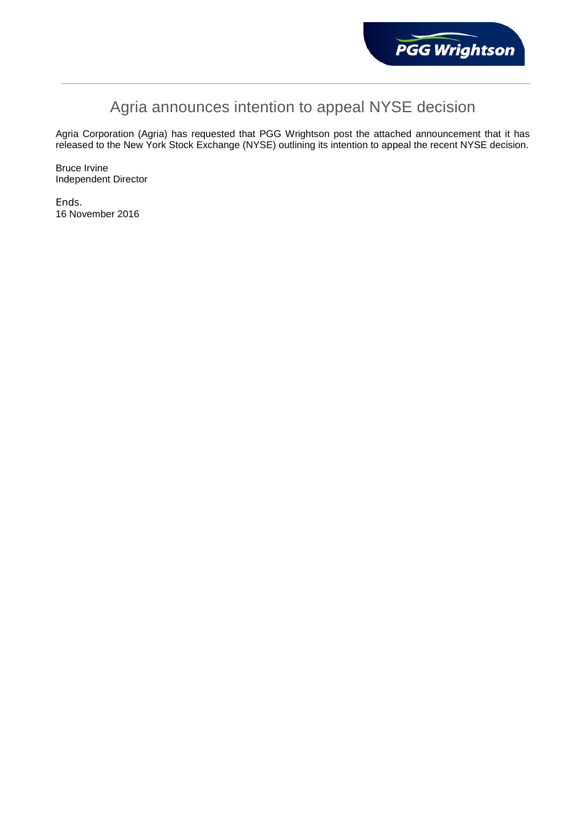

# Agria announces intention to appeal NYSE decision

Agria Corporation (Agria) has requested that PGG Wrightson post the attached announcement that it has released to the New York Stock Exchange (NYSE) outlining its intention to appeal the recent NYSE decision.

Bruce Irvine Independent Director

Ends. 16 November 2016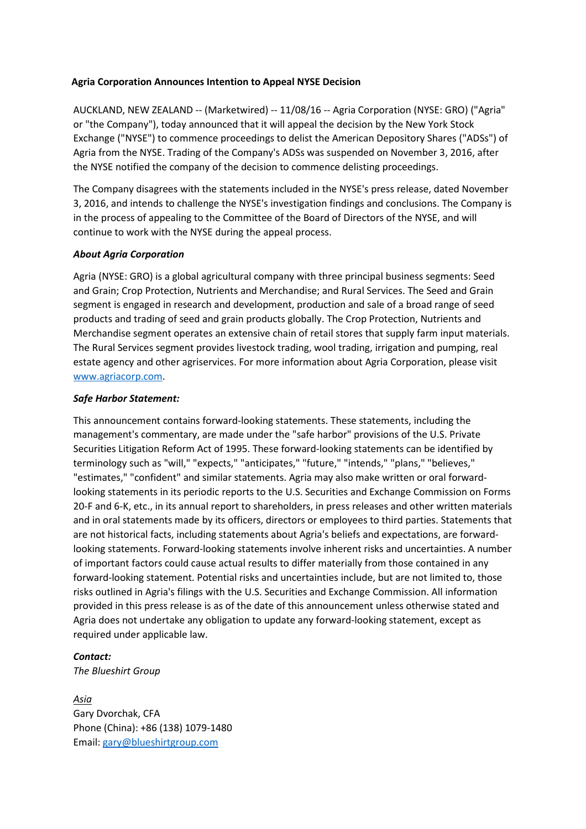#### **Agria Corporation Announces Intention to Appeal NYSE Decision**

AUCKLAND, NEW ZEALAND -- (Marketwired) -- 11/08/16 -- Agria Corporation (NYSE: GRO) ("Agria" or "the Company"), today announced that it will appeal the decision by the New York Stock Exchange ("NYSE") to commence proceedings to delist the American Depository Shares ("ADSs") of Agria from the NYSE. Trading of the Company's ADSs was suspended on November 3, 2016, after the NYSE notified the company of the decision to commence delisting proceedings.

The Company disagrees with the statements included in the NYSE's press release, dated November 3, 2016, and intends to challenge the NYSE's investigation findings and conclusions. The Company is in the process of appealing to the Committee of the Board of Directors of the NYSE, and will continue to work with the NYSE during the appeal process.

### *About Agria Corporation*

Agria (NYSE: GRO) is a global agricultural company with three principal business segments: Seed and Grain; Crop Protection, Nutrients and Merchandise; and Rural Services. The Seed and Grain segment is engaged in research and development, production and sale of a broad range of seed products and trading of seed and grain products globally. The Crop Protection, Nutrients and Merchandise segment operates an extensive chain of retail stores that supply farm input materials. The Rural Services segment provides livestock trading, wool trading, irrigation and pumping, real estate agency and other agriservices. For more information about Agria Corporation, please visit www.agriacorp.com.

### *Safe Harbor Statement:*

This announcement contains forward-looking statements. These statements, including the management's commentary, are made under the "safe harbor" provisions of the U.S. Private Securities Litigation Reform Act of 1995. These forward-looking statements can be identified by terminology such as "will," "expects," "anticipates," "future," "intends," "plans," "believes," "estimates," "confident" and similar statements. Agria may also make written or oral forwardlooking statements in its periodic reports to the U.S. Securities and Exchange Commission on Forms 20-F and 6-K, etc., in its annual report to shareholders, in press releases and other written materials and in oral statements made by its officers, directors or employees to third parties. Statements that are not historical facts, including statements about Agria's beliefs and expectations, are forwardlooking statements. Forward-looking statements involve inherent risks and uncertainties. A number of important factors could cause actual results to differ materially from those contained in any forward-looking statement. Potential risks and uncertainties include, but are not limited to, those risks outlined in Agria's filings with the U.S. Securities and Exchange Commission. All information provided in this press release is as of the date of this announcement unless otherwise stated and Agria does not undertake any obligation to update any forward-looking statement, except as required under applicable law.

## *Contact:*

*The Blueshirt Group*

*Asia*  Gary Dvorchak, CFA Phone (China): +86 (138) 1079-1480 Email: gary@blueshirtgroup.com